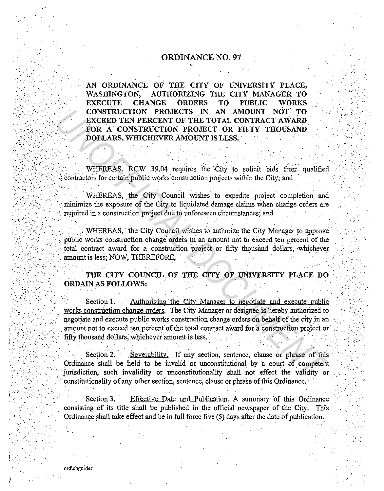## **ORDINANCE NO. 97**

AN ORDINANCE OF THE CITY OF UNIVERSITY PLACE, WASHINGTON, AUTHORIZING THE CITY MANAGER TO **EXECUTE CHANGE ORDERS** TO PUBLIC **WORKS** CONSTRUCTION PROJECTS IN AN AMOUNT NOT TO EXCEED TEN PERCENT OF THE TOTAL CONTRACT AWARD FOR A CONSTRUCTION PROJECT OR FIFTY THOUSAND DOLLARS, WHICHEVER AMOUNT IS LESS.

WHEREAS, RCW 39.04 requires the City to solicit bids from qualified contractors for certain public works construction projects within the City; and

WHEREAS, the City Council wishes to expedite project completion and minimize the exposure of the City to liquidated damage claims when change orders are required in a construction project due to unforeseen circumstances; and

WHEREAS, the City Council wishes to authorize the City Manager to approve public works construction change orders in an amount not to exceed ten percent of the total contract award for a construction project or fifty thousand dollars, whichever amount is less; NOW, THEREFORE,

THE CITY COUNCIL OF THE CITY OF UNIVERSITY PLACE DO ORDAIN AS FOLLOWS:

Section 1. Authorizing the City Manager to negotiate and execute public works construction change orders. The City Manager or designee is hereby authorized to negotiate and execute public works construction change orders on behalf of the city in an amount not to exceed ten percent of the total contract award for a construction project or fifty thousand dollars, whichever amount is less.

Section 2. Severability. If any section, sentence, clause or phrase of this Ordinance shall be held to be invalid or unconstitutional by a court of competent jurisdiction, such invalidity or unconstitutionality shall not effect the validity or constitutionality of any other section, sentence, clause or phrase of this Ordinance.

Effective Date and Publication. A summary of this Ordinance Section 3. consisting of its title shall be published in the official newspaper of the City. This Ordinance shall take effect and be in full force five (5) days after the date of publication.